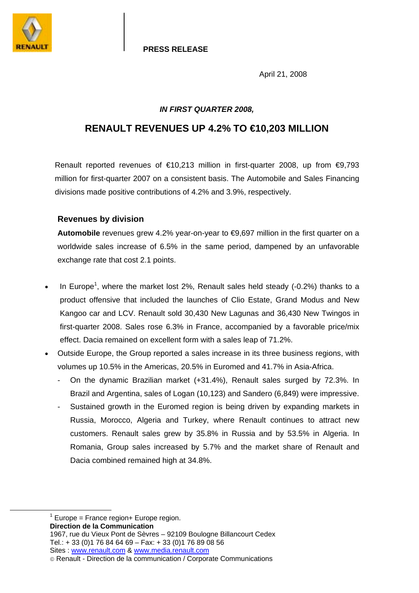

## **PRESS RELEASE**

April 21, 2008

# *IN FIRST QUARTER 2008,*

# **RENAULT REVENUES UP 4.2% TO €10,203 MILLION**

Renault reported revenues of €10,213 million in first-quarter 2008, up from €9,793 million for first-quarter 2007 on a consistent basis. The Automobile and Sales Financing divisions made positive contributions of 4.2% and 3.9%, respectively.

# **Revenues by division**

**Automobile** revenues grew 4.2% year-on-year to €9,697 million in the first quarter on a worldwide sales increase of 6.5% in the same period, dampened by an unfavorable exchange rate that cost 2.1 points.

- In Europe<sup>1</sup>, where the market lost 2%, Renault sales held steady (-0.2%) thanks to a product offensive that included the launches of Clio Estate, Grand Modus and New Kangoo car and LCV. Renault sold 30,430 New Lagunas and 36,430 New Twingos in first-quarter 2008. Sales rose 6.3% in France, accompanied by a favorable price/mix effect. Dacia remained on excellent form with a sales leap of 71.2%.
- Outside Europe, the Group reported a sales increase in its three business regions, with volumes up 10.5% in the Americas, 20.5% in Euromed and 41.7% in Asia-Africa.
	- On the dynamic Brazilian market (+31.4%), Renault sales surged by 72.3%. In Brazil and Argentina, sales of Logan (10,123) and Sandero (6,849) were impressive.
	- Sustained growth in the Euromed region is being driven by expanding markets in Russia, Morocco, Algeria and Turkey, where Renault continues to attract new customers. Renault sales grew by 35.8% in Russia and by 53.5% in Algeria. In Romania, Group sales increased by 5.7% and the market share of Renault and Dacia combined remained high at 34.8%.

**Direction de la Communication**  1967, rue du Vieux Pont de Sèvres – 92109 Boulogne Billancourt Cedex Tel.: + 33 (0)1 76 84 64 69 – Fax: + 33 (0)1 76 89 08 56 Sites : www.renault.com & www.media.renault.com <sup>1</sup>  $1$  Europe = France region+ Europe region.

Renault - Direction de la communication / Corporate Communications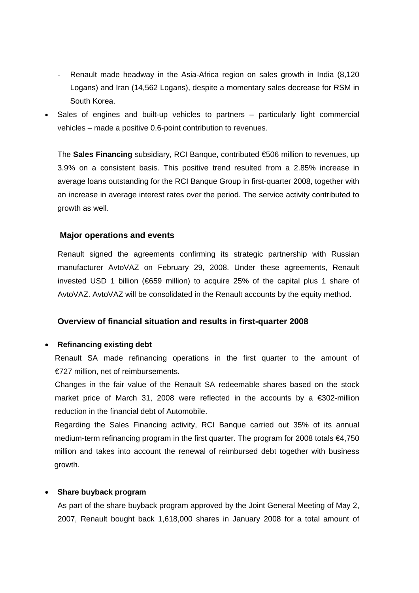- Renault made headway in the Asia-Africa region on sales growth in India (8,120 Logans) and Iran (14,562 Logans), despite a momentary sales decrease for RSM in South Korea.
- Sales of engines and built-up vehicles to partners particularly light commercial vehicles – made a positive 0.6-point contribution to revenues.

The **Sales Financing** subsidiary, RCI Banque, contributed €506 million to revenues, up 3.9% on a consistent basis. This positive trend resulted from a 2.85% increase in average loans outstanding for the RCI Banque Group in first-quarter 2008, together with an increase in average interest rates over the period. The service activity contributed to growth as well.

## **Major operations and events**

Renault signed the agreements confirming its strategic partnership with Russian manufacturer AvtoVAZ on February 29, 2008. Under these agreements, Renault invested USD 1 billion (€659 million) to acquire 25% of the capital plus 1 share of AvtoVAZ. AvtoVAZ will be consolidated in the Renault accounts by the equity method.

#### **Overview of financial situation and results in first-quarter 2008**

#### • **Refinancing existing debt**

Renault SA made refinancing operations in the first quarter to the amount of €727 million, net of reimbursements.

Changes in the fair value of the Renault SA redeemable shares based on the stock market price of March 31, 2008 were reflected in the accounts by a €302-million reduction in the financial debt of Automobile.

Regarding the Sales Financing activity, RCI Banque carried out 35% of its annual medium-term refinancing program in the first quarter. The program for 2008 totals  $\epsilon$ 4,750 million and takes into account the renewal of reimbursed debt together with business growth.

#### • **Share buyback program**

As part of the share buyback program approved by the Joint General Meeting of May 2, 2007, Renault bought back 1,618,000 shares in January 2008 for a total amount of